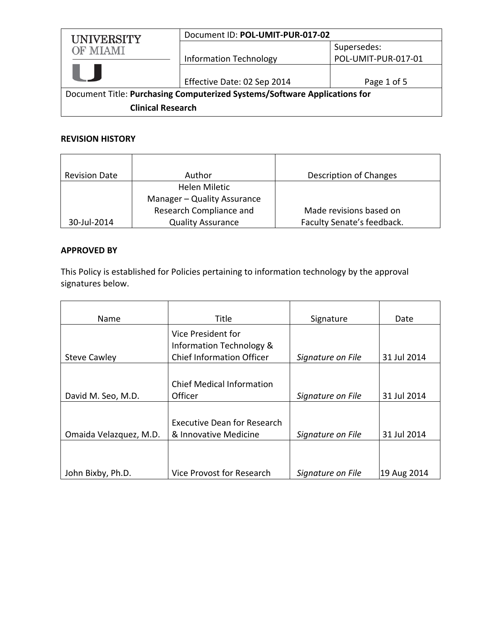| UNIVERSITY<br>OF MIAMI                                                    | Document ID: POL-UMIT-PUR-017-02 |                                    |
|---------------------------------------------------------------------------|----------------------------------|------------------------------------|
|                                                                           | <b>Information Technology</b>    | Supersedes:<br>POL-UMIT-PUR-017-01 |
|                                                                           | Effective Date: 02 Sep 2014      | Page 1 of 5                        |
| Document Title: Purchasing Computerized Systems/Software Applications for |                                  |                                    |
| <b>Clinical Research</b>                                                  |                                  |                                    |

# **REVISION HISTORY**

| <b>Revision Date</b> | Author                      | Description of Changes     |
|----------------------|-----------------------------|----------------------------|
|                      | Helen Miletic               |                            |
|                      | Manager - Quality Assurance |                            |
|                      | Research Compliance and     | Made revisions based on    |
| 30-Jul-2014          | <b>Quality Assurance</b>    | Faculty Senate's feedback. |

## **APPROVED BY**

This Policy is established for Policies pertaining to information technology by the approval signatures below.

| Name                   | Title                              | Signature         | Date        |
|------------------------|------------------------------------|-------------------|-------------|
|                        | Vice President for                 |                   |             |
|                        | Information Technology &           |                   |             |
| <b>Steve Cawley</b>    | <b>Chief Information Officer</b>   | Signature on File | 31 Jul 2014 |
|                        |                                    |                   |             |
|                        | <b>Chief Medical Information</b>   |                   |             |
| David M. Seo, M.D.     | Officer                            | Signature on File | 31 Jul 2014 |
|                        |                                    |                   |             |
|                        | <b>Executive Dean for Research</b> |                   |             |
| Omaida Velazquez, M.D. | & Innovative Medicine              | Signature on File | 31 Jul 2014 |
|                        |                                    |                   |             |
|                        |                                    |                   |             |
| John Bixby, Ph.D.      | Vice Provost for Research          | Signature on File | 19 Aug 2014 |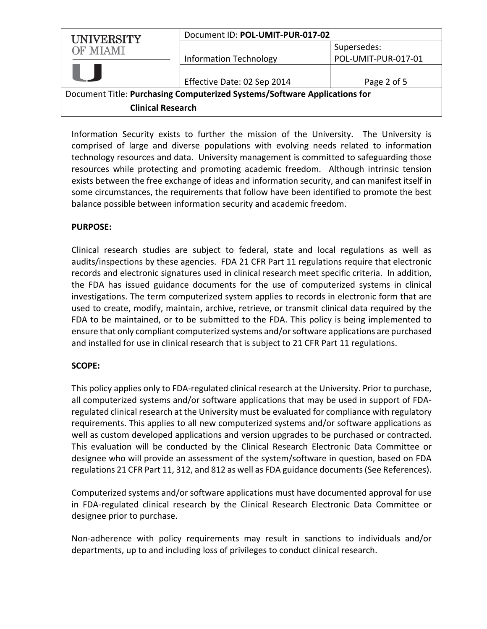| <b>UNIVERSITY</b>                                                         | Document ID: POL-UMIT-PUR-017-02 |                     |  |
|---------------------------------------------------------------------------|----------------------------------|---------------------|--|
| <b>OF MIAMI</b>                                                           |                                  | Supersedes:         |  |
|                                                                           | Information Technology           | POL-UMIT-PUR-017-01 |  |
|                                                                           | Effective Date: 02 Sep 2014      | Page 2 of 5         |  |
| Document Title: Purchasing Computerized Systems/Software Applications for |                                  |                     |  |
| <b>Clinical Research</b>                                                  |                                  |                     |  |

Information Security exists to further the mission of the University. The University is comprised of large and diverse populations with evolving needs related to information technology resources and data. University management is committed to safeguarding those resources while protecting and promoting academic freedom. Although intrinsic tension exists between the free exchange of ideas and information security, and can manifest itself in some circumstances, the requirements that follow have been identified to promote the best balance possible between information security and academic freedom.

### **PURPOSE:**

Clinical research studies are subject to federal, state and local regulations as well as audits/inspections by these agencies. FDA 21 CFR Part 11 regulations require that electronic records and electronic signatures used in clinical research meet specific criteria. In addition, the FDA has issued guidance documents for the use of computerized systems in clinical investigations. The term computerized system applies to records in electronic form that are used to create, modify, maintain, archive, retrieve, or transmit clinical data required by the FDA to be maintained, or to be submitted to the FDA. This policy is being implemented to ensure that only compliant computerized systems and/or software applications are purchased and installed for use in clinical research that is subject to 21 CFR Part 11 regulations.

## **SCOPE:**

This policy applies only to FDA‐regulated clinical research at the University. Prior to purchase, all computerized systems and/or software applications that may be used in support of FDA‐ regulated clinical research at the University must be evaluated for compliance with regulatory requirements. This applies to all new computerized systems and/or software applications as well as custom developed applications and version upgrades to be purchased or contracted. This evaluation will be conducted by the Clinical Research Electronic Data Committee or designee who will provide an assessment of the system/software in question, based on FDA regulations 21 CFR Part 11, 312, and 812 as well as FDA guidance documents(See References).

Computerized systems and/or software applications must have documented approval for use in FDA‐regulated clinical research by the Clinical Research Electronic Data Committee or designee prior to purchase.

Non‐adherence with policy requirements may result in sanctions to individuals and/or departments, up to and including loss of privileges to conduct clinical research.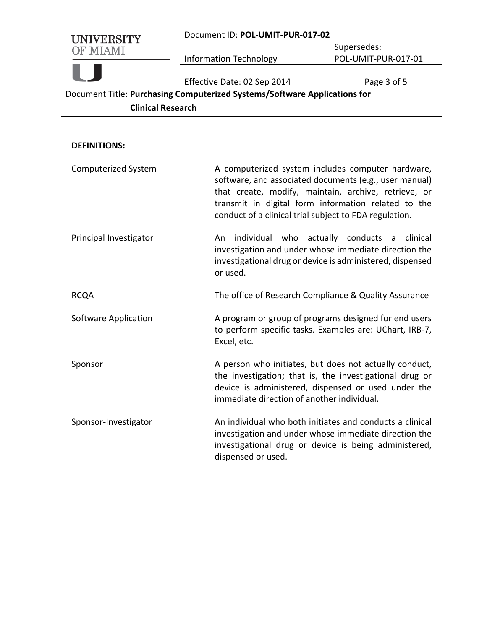| <b>UNIVERSITY</b><br><b>OF MIAMI</b>                                      | Document ID: POL-UMIT-PUR-017-02 |                     |
|---------------------------------------------------------------------------|----------------------------------|---------------------|
|                                                                           |                                  | Supersedes:         |
|                                                                           | <b>Information Technology</b>    | POL-UMIT-PUR-017-01 |
|                                                                           |                                  |                     |
|                                                                           | Effective Date: 02 Sep 2014      | Page 3 of 5         |
| Document Title: Purchasing Computerized Systems/Software Applications for |                                  |                     |
| <b>Clinical Research</b>                                                  |                                  |                     |

# **DEFINITIONS:**

| <b>Computerized System</b> | A computerized system includes computer hardware,<br>software, and associated documents (e.g., user manual)<br>that create, modify, maintain, archive, retrieve, or<br>transmit in digital form information related to the<br>conduct of a clinical trial subject to FDA regulation. |  |
|----------------------------|--------------------------------------------------------------------------------------------------------------------------------------------------------------------------------------------------------------------------------------------------------------------------------------|--|
| Principal Investigator     | individual who actually conducts a clinical<br>An<br>investigation and under whose immediate direction the<br>investigational drug or device is administered, dispensed<br>or used.                                                                                                  |  |
| <b>RCQA</b>                | The office of Research Compliance & Quality Assurance                                                                                                                                                                                                                                |  |
| Software Application       | A program or group of programs designed for end users<br>to perform specific tasks. Examples are: UChart, IRB-7,<br>Excel, etc.                                                                                                                                                      |  |
| Sponsor                    | A person who initiates, but does not actually conduct,<br>the investigation; that is, the investigational drug or<br>device is administered, dispensed or used under the<br>immediate direction of another individual.                                                               |  |
| Sponsor-Investigator       | An individual who both initiates and conducts a clinical<br>investigation and under whose immediate direction the<br>investigational drug or device is being administered,<br>dispensed or used.                                                                                     |  |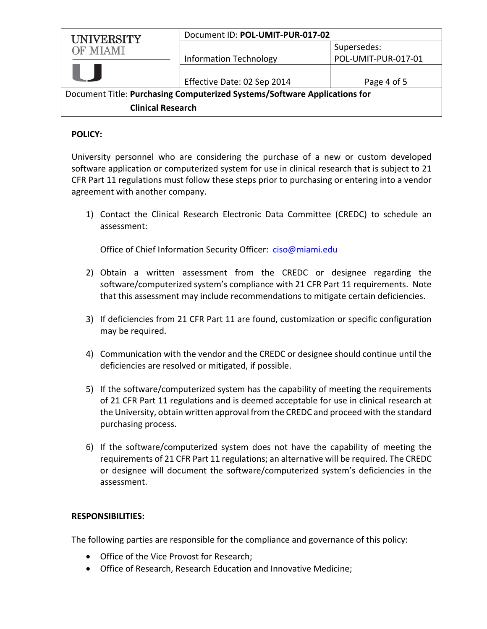| <b>UNIVERSITY</b>                                                         | Document ID: POL-UMIT-PUR-017-02 |                     |  |
|---------------------------------------------------------------------------|----------------------------------|---------------------|--|
| <b>OF MIAMI</b>                                                           |                                  | Supersedes:         |  |
|                                                                           | <b>Information Technology</b>    | POL-UMIT-PUR-017-01 |  |
|                                                                           |                                  |                     |  |
|                                                                           | Effective Date: 02 Sep 2014      | Page 4 of 5         |  |
| Document Title: Purchasing Computerized Systems/Software Applications for |                                  |                     |  |
| <b>Clinical Research</b>                                                  |                                  |                     |  |

#### **POLICY:**

University personnel who are considering the purchase of a new or custom developed software application or computerized system for use in clinical research that is subject to 21 CFR Part 11 regulations must follow these steps prior to purchasing or entering into a vendor agreement with another company.

1) Contact the Clinical Research Electronic Data Committee (CREDC) to schedule an assessment:

Office of Chief Information Security Officer: ciso@miami.edu

- 2) Obtain a written assessment from the CREDC or designee regarding the software/computerized system's compliance with 21 CFR Part 11 requirements. Note that this assessment may include recommendations to mitigate certain deficiencies.
- 3) If deficiencies from 21 CFR Part 11 are found, customization or specific configuration may be required.
- 4) Communication with the vendor and the CREDC or designee should continue until the deficiencies are resolved or mitigated, if possible.
- 5) If the software/computerized system has the capability of meeting the requirements of 21 CFR Part 11 regulations and is deemed acceptable for use in clinical research at the University, obtain written approval from the CREDC and proceed with the standard purchasing process.
- 6) If the software/computerized system does not have the capability of meeting the requirements of 21 CFR Part 11 regulations; an alternative will be required. The CREDC or designee will document the software/computerized system's deficiencies in the assessment.

#### **RESPONSIBILITIES:**

The following parties are responsible for the compliance and governance of this policy:

- Office of the Vice Provost for Research;
- Office of Research, Research Education and Innovative Medicine;